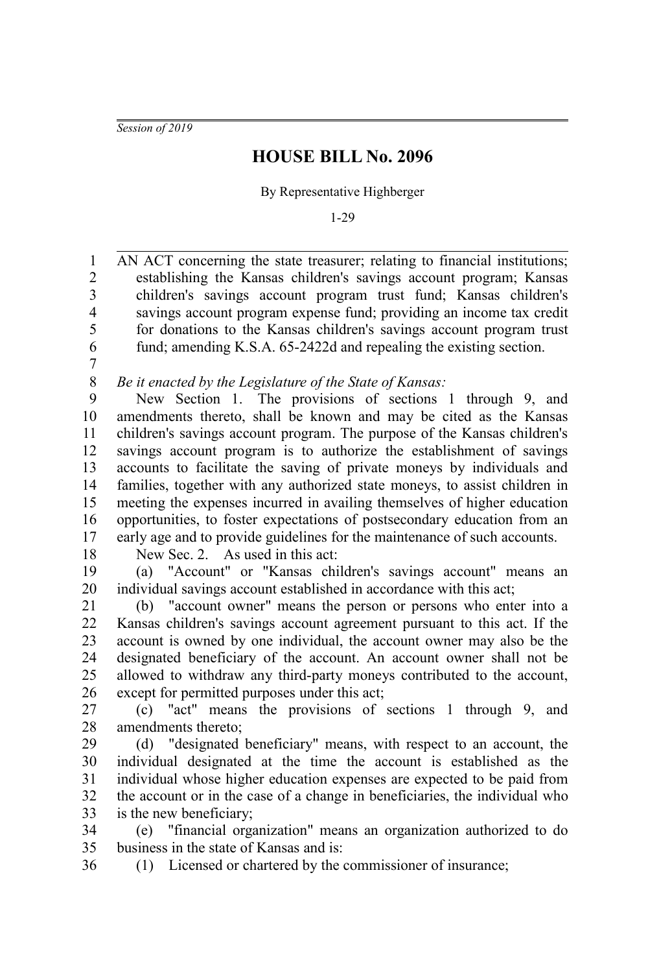*Session of 2019*

## **HOUSE BILL No. 2096**

By Representative Highberger

1-29

AN ACT concerning the state treasurer; relating to financial institutions; establishing the Kansas children's savings account program; Kansas children's savings account program trust fund; Kansas children's savings account program expense fund; providing an income tax credit for donations to the Kansas children's savings account program trust fund; amending K.S.A. 65-2422d and repealing the existing section. 1 2 3 4 5 6

7

*Be it enacted by the Legislature of the State of Kansas:* 8

New Section 1. The provisions of sections 1 through 9, and amendments thereto, shall be known and may be cited as the Kansas children's savings account program. The purpose of the Kansas children's savings account program is to authorize the establishment of savings accounts to facilitate the saving of private moneys by individuals and families, together with any authorized state moneys, to assist children in meeting the expenses incurred in availing themselves of higher education opportunities, to foster expectations of postsecondary education from an early age and to provide guidelines for the maintenance of such accounts. 9 10 11 12 13 14 15 16 17

18

New Sec. 2. As used in this act:

(a) "Account" or "Kansas children's savings account" means an individual savings account established in accordance with this act; 19 20

(b) "account owner" means the person or persons who enter into a Kansas children's savings account agreement pursuant to this act. If the account is owned by one individual, the account owner may also be the designated beneficiary of the account. An account owner shall not be allowed to withdraw any third-party moneys contributed to the account, except for permitted purposes under this act; 21 22 23 24 25 26

(c) "act" means the provisions of sections 1 through 9, and amendments thereto; 27 28

(d) "designated beneficiary" means, with respect to an account, the individual designated at the time the account is established as the individual whose higher education expenses are expected to be paid from the account or in the case of a change in beneficiaries, the individual who is the new beneficiary; 29 30 31 32 33

(e) "financial organization" means an organization authorized to do business in the state of Kansas and is: 34 35

36

(1) Licensed or chartered by the commissioner of insurance;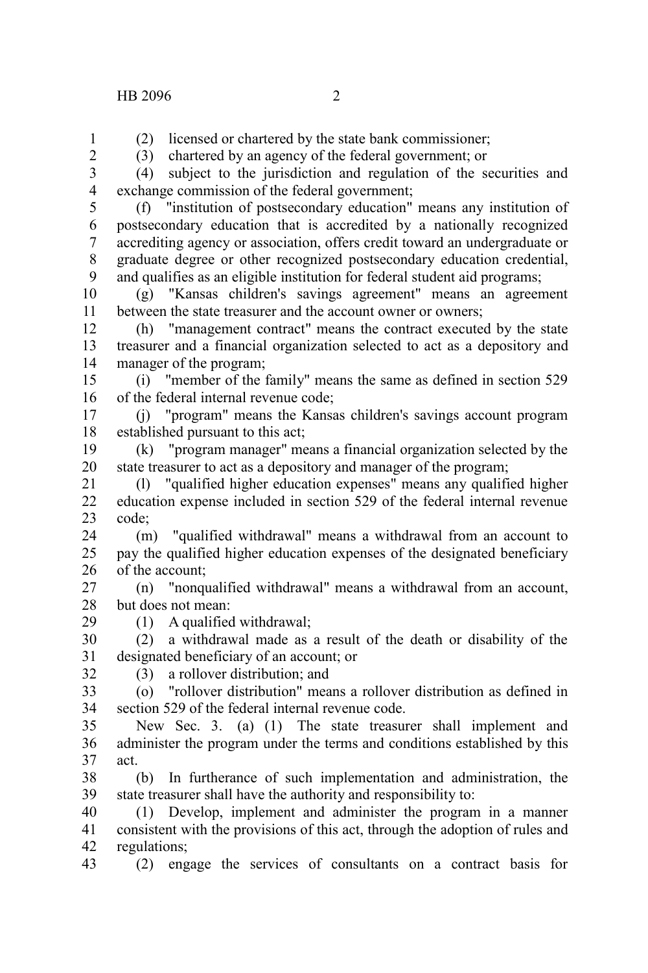(2) licensed or chartered by the state bank commissioner;

(3) chartered by an agency of the federal government; or

(4) subject to the jurisdiction and regulation of the securities and exchange commission of the federal government; 3 4

5

1

(f) "institution of postsecondary education" means any institution of postsecondary education that is accredited by a nationally recognized accrediting agency or association, offers credit toward an undergraduate or graduate degree or other recognized postsecondary education credential, and qualifies as an eligible institution for federal student aid programs; 6 7 8 9

(g) "Kansas children's savings agreement" means an agreement between the state treasurer and the account owner or owners; 10 11

(h) "management contract" means the contract executed by the state treasurer and a financial organization selected to act as a depository and manager of the program; 12 13 14

(i) "member of the family" means the same as defined in section 529 of the federal internal revenue code; 15 16

(j) "program" means the Kansas children's savings account program established pursuant to this act; 17 18

(k) "program manager" means a financial organization selected by the state treasurer to act as a depository and manager of the program; 19 20

(l) "qualified higher education expenses" means any qualified higher education expense included in section 529 of the federal internal revenue code; 21 22 23

(m) "qualified withdrawal" means a withdrawal from an account to pay the qualified higher education expenses of the designated beneficiary of the account; 24 25 26

(n) "nonqualified withdrawal" means a withdrawal from an account, but does not mean: 27 28

(1) A qualified withdrawal;

(2) a withdrawal made as a result of the death or disability of the designated beneficiary of an account; or 30 31

32

29

(3) a rollover distribution; and

(o) "rollover distribution" means a rollover distribution as defined in section 529 of the federal internal revenue code. 33 34

New Sec. 3. (a) (1) The state treasurer shall implement and administer the program under the terms and conditions established by this act. 35 36 37

(b) In furtherance of such implementation and administration, the state treasurer shall have the authority and responsibility to: 38 39

(1) Develop, implement and administer the program in a manner consistent with the provisions of this act, through the adoption of rules and regulations; 40 41 42

(2) engage the services of consultants on a contract basis for 43

 $\mathcal{L}$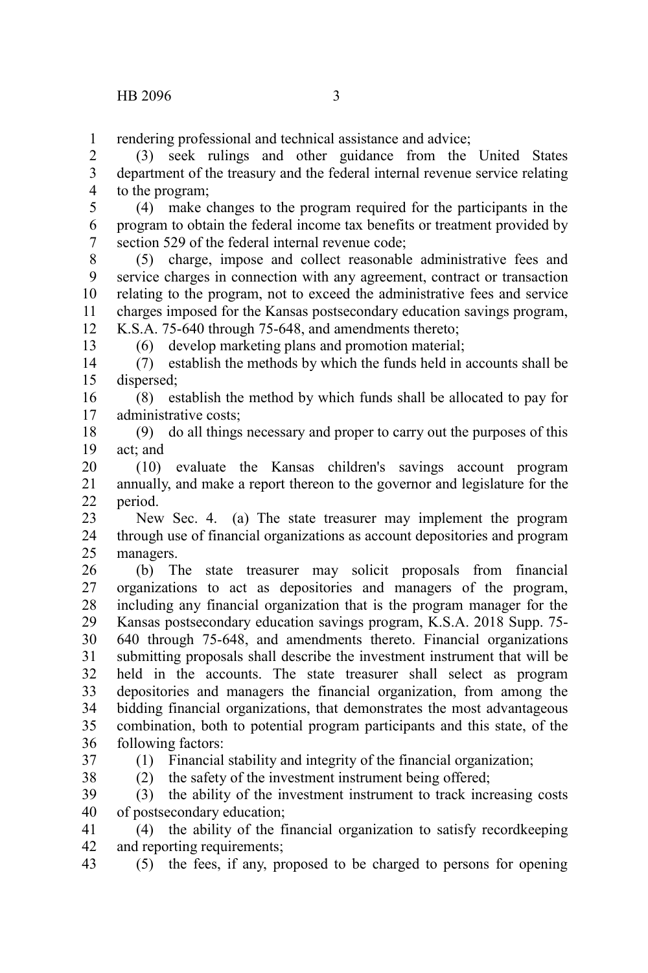rendering professional and technical assistance and advice; 1

(3) seek rulings and other guidance from the United States department of the treasury and the federal internal revenue service relating to the program; 2 3 4

(4) make changes to the program required for the participants in the program to obtain the federal income tax benefits or treatment provided by section 529 of the federal internal revenue code; 5 6 7

(5) charge, impose and collect reasonable administrative fees and service charges in connection with any agreement, contract or transaction relating to the program, not to exceed the administrative fees and service charges imposed for the Kansas postsecondary education savings program, K.S.A. 75-640 through 75-648, and amendments thereto; 8 9 10 11 12

(6) develop marketing plans and promotion material;

(7) establish the methods by which the funds held in accounts shall be dispersed; 14 15

(8) establish the method by which funds shall be allocated to pay for administrative costs; 16 17

(9) do all things necessary and proper to carry out the purposes of this act; and 18 19

(10) evaluate the Kansas children's savings account program annually, and make a report thereon to the governor and legislature for the period. 20 21 22

New Sec. 4. (a) The state treasurer may implement the program through use of financial organizations as account depositories and program managers. 23 24 25

(b) The state treasurer may solicit proposals from financial organizations to act as depositories and managers of the program, including any financial organization that is the program manager for the Kansas postsecondary education savings program, K.S.A. 2018 Supp. 75- 640 through 75-648, and amendments thereto. Financial organizations submitting proposals shall describe the investment instrument that will be held in the accounts. The state treasurer shall select as program depositories and managers the financial organization, from among the bidding financial organizations, that demonstrates the most advantageous combination, both to potential program participants and this state, of the following factors: 26 27 28 29 30 31 32 33 34 35 36

37

13

38

(1) Financial stability and integrity of the financial organization;

(2) the safety of the investment instrument being offered;

(3) the ability of the investment instrument to track increasing costs of postsecondary education; 39 40

(4) the ability of the financial organization to satisfy recordkeeping and reporting requirements; 41 42

(5) the fees, if any, proposed to be charged to persons for opening 43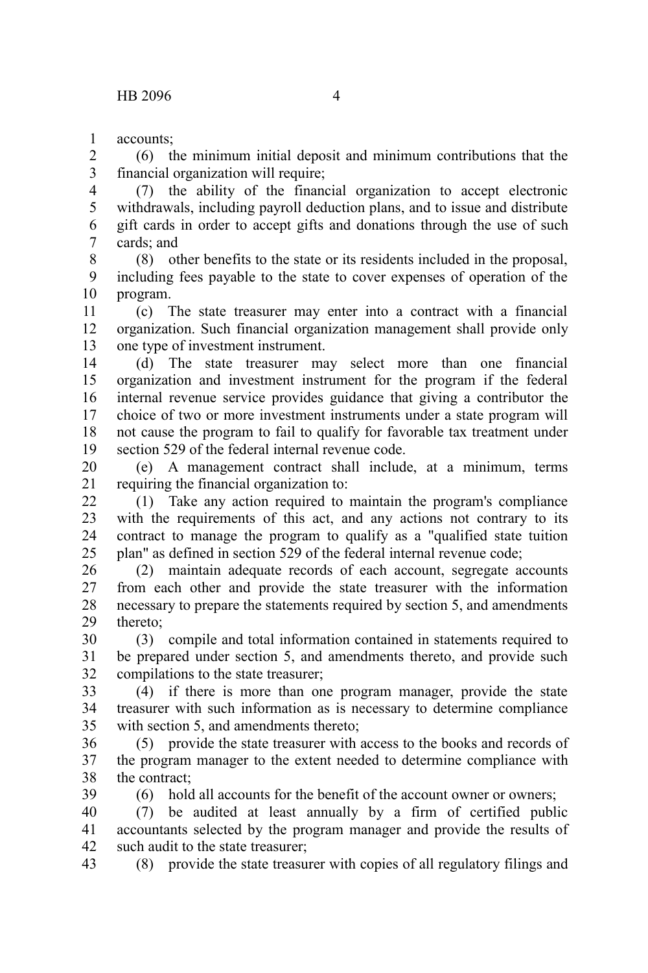accounts; 1

(6) the minimum initial deposit and minimum contributions that the financial organization will require; 2 3

(7) the ability of the financial organization to accept electronic withdrawals, including payroll deduction plans, and to issue and distribute gift cards in order to accept gifts and donations through the use of such cards; and 4 5 6 7

(8) other benefits to the state or its residents included in the proposal, including fees payable to the state to cover expenses of operation of the program. 8 9 10

(c) The state treasurer may enter into a contract with a financial organization. Such financial organization management shall provide only one type of investment instrument. 11 12 13

(d) The state treasurer may select more than one financial organization and investment instrument for the program if the federal internal revenue service provides guidance that giving a contributor the choice of two or more investment instruments under a state program will not cause the program to fail to qualify for favorable tax treatment under section 529 of the federal internal revenue code. 14 15 16 17 18 19

(e) A management contract shall include, at a minimum, terms requiring the financial organization to: 20 21

(1) Take any action required to maintain the program's compliance with the requirements of this act, and any actions not contrary to its contract to manage the program to qualify as a "qualified state tuition plan" as defined in section 529 of the federal internal revenue code;  $22$ 23 24 25

(2) maintain adequate records of each account, segregate accounts from each other and provide the state treasurer with the information necessary to prepare the statements required by section 5, and amendments thereto; 26 27 28 29

(3) compile and total information contained in statements required to be prepared under section 5, and amendments thereto, and provide such compilations to the state treasurer; 30 31 32

(4) if there is more than one program manager, provide the state treasurer with such information as is necessary to determine compliance with section 5, and amendments thereto; 33 34 35

(5) provide the state treasurer with access to the books and records of the program manager to the extent needed to determine compliance with the contract; 36 37 38 39

(6) hold all accounts for the benefit of the account owner or owners;

(7) be audited at least annually by a firm of certified public accountants selected by the program manager and provide the results of such audit to the state treasurer; 40 41 42

(8) provide the state treasurer with copies of all regulatory filings and 43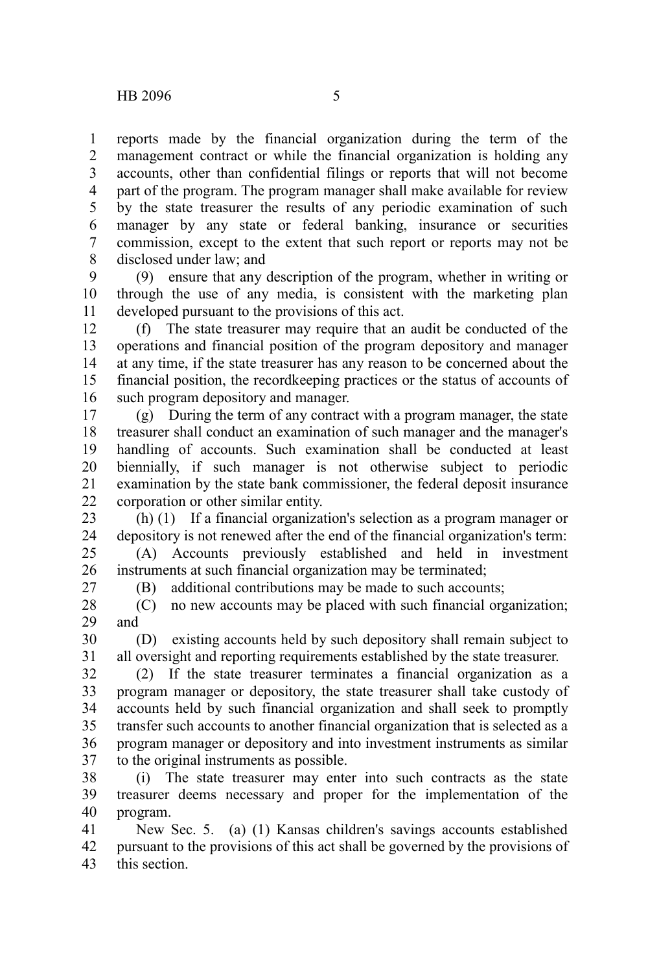reports made by the financial organization during the term of the management contract or while the financial organization is holding any accounts, other than confidential filings or reports that will not become part of the program. The program manager shall make available for review by the state treasurer the results of any periodic examination of such manager by any state or federal banking, insurance or securities commission, except to the extent that such report or reports may not be disclosed under law; and 1 2 3 4 5 6 7 8

(9) ensure that any description of the program, whether in writing or through the use of any media, is consistent with the marketing plan developed pursuant to the provisions of this act. 9 10 11

(f) The state treasurer may require that an audit be conducted of the operations and financial position of the program depository and manager at any time, if the state treasurer has any reason to be concerned about the financial position, the recordkeeping practices or the status of accounts of such program depository and manager. 12 13 14 15 16

(g) During the term of any contract with a program manager, the state treasurer shall conduct an examination of such manager and the manager's handling of accounts. Such examination shall be conducted at least biennially, if such manager is not otherwise subject to periodic examination by the state bank commissioner, the federal deposit insurance corporation or other similar entity. 17 18 19 20 21 22

(h) (1) If a financial organization's selection as a program manager or depository is not renewed after the end of the financial organization's term: 23 24

(A) Accounts previously established and held in investment instruments at such financial organization may be terminated; 25 26

27

(B) additional contributions may be made to such accounts;

(C) no new accounts may be placed with such financial organization; and 28 29

(D) existing accounts held by such depository shall remain subject to all oversight and reporting requirements established by the state treasurer. 30 31

(2) If the state treasurer terminates a financial organization as a program manager or depository, the state treasurer shall take custody of accounts held by such financial organization and shall seek to promptly transfer such accounts to another financial organization that is selected as a program manager or depository and into investment instruments as similar to the original instruments as possible. 32 33 34 35 36 37

(i) The state treasurer may enter into such contracts as the state treasurer deems necessary and proper for the implementation of the program. 38 39 40

New Sec. 5. (a) (1) Kansas children's savings accounts established pursuant to the provisions of this act shall be governed by the provisions of this section. 41 42 43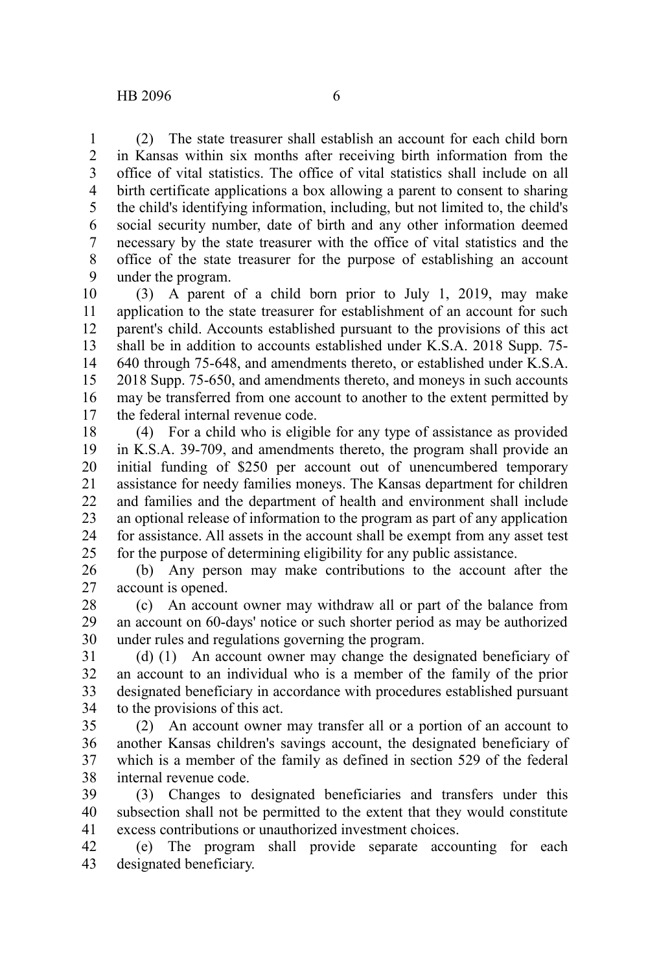(2) The state treasurer shall establish an account for each child born in Kansas within six months after receiving birth information from the office of vital statistics. The office of vital statistics shall include on all birth certificate applications a box allowing a parent to consent to sharing the child's identifying information, including, but not limited to, the child's social security number, date of birth and any other information deemed necessary by the state treasurer with the office of vital statistics and the office of the state treasurer for the purpose of establishing an account under the program. 1 2 3 4 5 6 7 8 9

(3) A parent of a child born prior to July 1, 2019, may make application to the state treasurer for establishment of an account for such parent's child. Accounts established pursuant to the provisions of this act shall be in addition to accounts established under K.S.A. 2018 Supp. 75- 640 through 75-648, and amendments thereto, or established under K.S.A. 2018 Supp. 75-650, and amendments thereto, and moneys in such accounts may be transferred from one account to another to the extent permitted by the federal internal revenue code. 10 11 12 13 14 15 16 17

(4) For a child who is eligible for any type of assistance as provided in K.S.A. 39-709, and amendments thereto, the program shall provide an initial funding of \$250 per account out of unencumbered temporary assistance for needy families moneys. The Kansas department for children and families and the department of health and environment shall include an optional release of information to the program as part of any application for assistance. All assets in the account shall be exempt from any asset test for the purpose of determining eligibility for any public assistance. 18 19 20 21 22 23 24 25

(b) Any person may make contributions to the account after the account is opened. 26 27

(c) An account owner may withdraw all or part of the balance from an account on 60-days' notice or such shorter period as may be authorized under rules and regulations governing the program. 28 29 30

(d) (1) An account owner may change the designated beneficiary of an account to an individual who is a member of the family of the prior designated beneficiary in accordance with procedures established pursuant to the provisions of this act. 31 32 33 34

(2) An account owner may transfer all or a portion of an account to another Kansas children's savings account, the designated beneficiary of which is a member of the family as defined in section 529 of the federal internal revenue code. 35 36 37 38

(3) Changes to designated beneficiaries and transfers under this subsection shall not be permitted to the extent that they would constitute excess contributions or unauthorized investment choices. 39 40 41

(e) The program shall provide separate accounting for each designated beneficiary. 42 43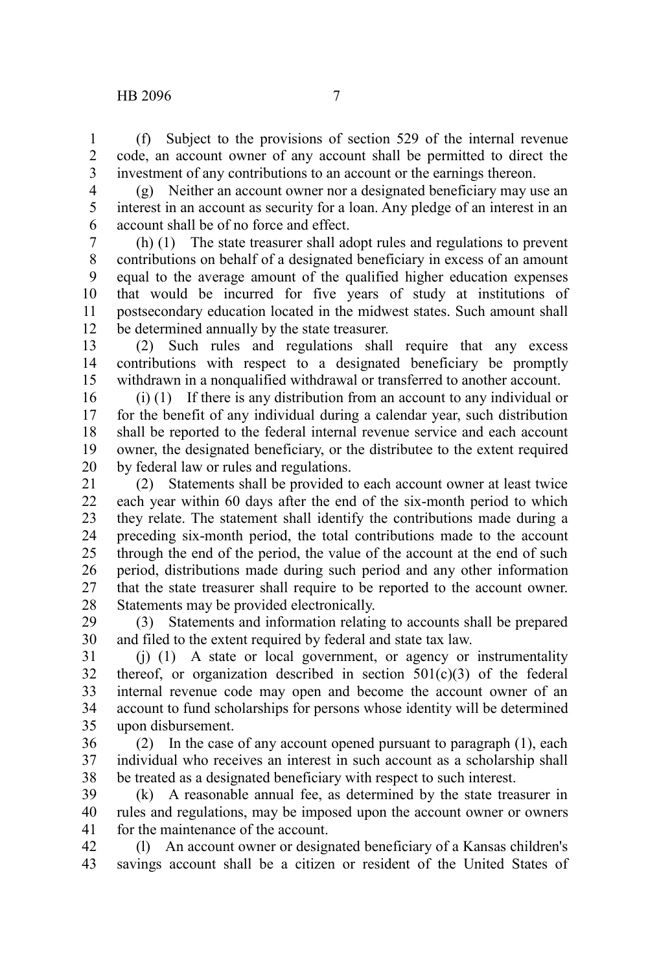(f) Subject to the provisions of section 529 of the internal revenue code, an account owner of any account shall be permitted to direct the investment of any contributions to an account or the earnings thereon. 1 2 3

4 5

(g) Neither an account owner nor a designated beneficiary may use an interest in an account as security for a loan. Any pledge of an interest in an account shall be of no force and effect. 6

(h) (1) The state treasurer shall adopt rules and regulations to prevent contributions on behalf of a designated beneficiary in excess of an amount equal to the average amount of the qualified higher education expenses that would be incurred for five years of study at institutions of postsecondary education located in the midwest states. Such amount shall be determined annually by the state treasurer. 7 8 9 10 11 12

(2) Such rules and regulations shall require that any excess contributions with respect to a designated beneficiary be promptly withdrawn in a nonqualified withdrawal or transferred to another account. 13 14 15

(i) (1) If there is any distribution from an account to any individual or for the benefit of any individual during a calendar year, such distribution shall be reported to the federal internal revenue service and each account owner, the designated beneficiary, or the distributee to the extent required by federal law or rules and regulations. 16 17 18 19 20

(2) Statements shall be provided to each account owner at least twice each year within 60 days after the end of the six-month period to which they relate. The statement shall identify the contributions made during a preceding six-month period, the total contributions made to the account through the end of the period, the value of the account at the end of such period, distributions made during such period and any other information that the state treasurer shall require to be reported to the account owner. Statements may be provided electronically. 21 22 23 24 25 26 27 28

(3) Statements and information relating to accounts shall be prepared and filed to the extent required by federal and state tax law. 29 30

(j) (1) A state or local government, or agency or instrumentality thereof, or organization described in section  $501(c)(3)$  of the federal internal revenue code may open and become the account owner of an account to fund scholarships for persons whose identity will be determined upon disbursement. 31 32 33 34 35

(2) In the case of any account opened pursuant to paragraph (1), each individual who receives an interest in such account as a scholarship shall be treated as a designated beneficiary with respect to such interest. 36 37 38

(k) A reasonable annual fee, as determined by the state treasurer in rules and regulations, may be imposed upon the account owner or owners for the maintenance of the account. 39 40 41

(l) An account owner or designated beneficiary of a Kansas children's savings account shall be a citizen or resident of the United States of 42 43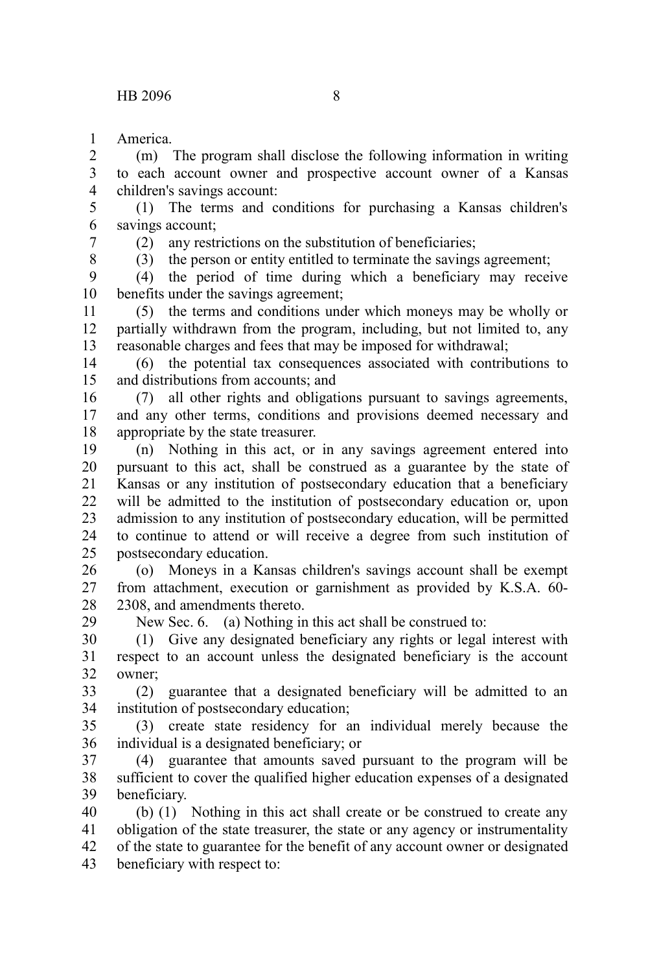America. 1

(m) The program shall disclose the following information in writing to each account owner and prospective account owner of a Kansas children's savings account: 2 3 4

(1) The terms and conditions for purchasing a Kansas children's savings account; 5 6

7

(2) any restrictions on the substitution of beneficiaries;

8

29

(3) the person or entity entitled to terminate the savings agreement;

(4) the period of time during which a beneficiary may receive benefits under the savings agreement; 9 10

(5) the terms and conditions under which moneys may be wholly or partially withdrawn from the program, including, but not limited to, any reasonable charges and fees that may be imposed for withdrawal; 11 12 13

(6) the potential tax consequences associated with contributions to and distributions from accounts; and 14 15

(7) all other rights and obligations pursuant to savings agreements, and any other terms, conditions and provisions deemed necessary and appropriate by the state treasurer. 16 17 18

(n) Nothing in this act, or in any savings agreement entered into pursuant to this act, shall be construed as a guarantee by the state of Kansas or any institution of postsecondary education that a beneficiary will be admitted to the institution of postsecondary education or, upon admission to any institution of postsecondary education, will be permitted to continue to attend or will receive a degree from such institution of postsecondary education. 19 20 21 22 23 24 25

(o) Moneys in a Kansas children's savings account shall be exempt from attachment, execution or garnishment as provided by K.S.A. 60- 2308, and amendments thereto. 26 27 28

New Sec. 6. (a) Nothing in this act shall be construed to:

(1) Give any designated beneficiary any rights or legal interest with respect to an account unless the designated beneficiary is the account owner; 30 31 32

(2) guarantee that a designated beneficiary will be admitted to an institution of postsecondary education; 33 34

(3) create state residency for an individual merely because the individual is a designated beneficiary; or 35 36

(4) guarantee that amounts saved pursuant to the program will be sufficient to cover the qualified higher education expenses of a designated beneficiary. 37 38 39

(b) (1) Nothing in this act shall create or be construed to create any obligation of the state treasurer, the state or any agency or instrumentality of the state to guarantee for the benefit of any account owner or designated beneficiary with respect to: 40 41 42 43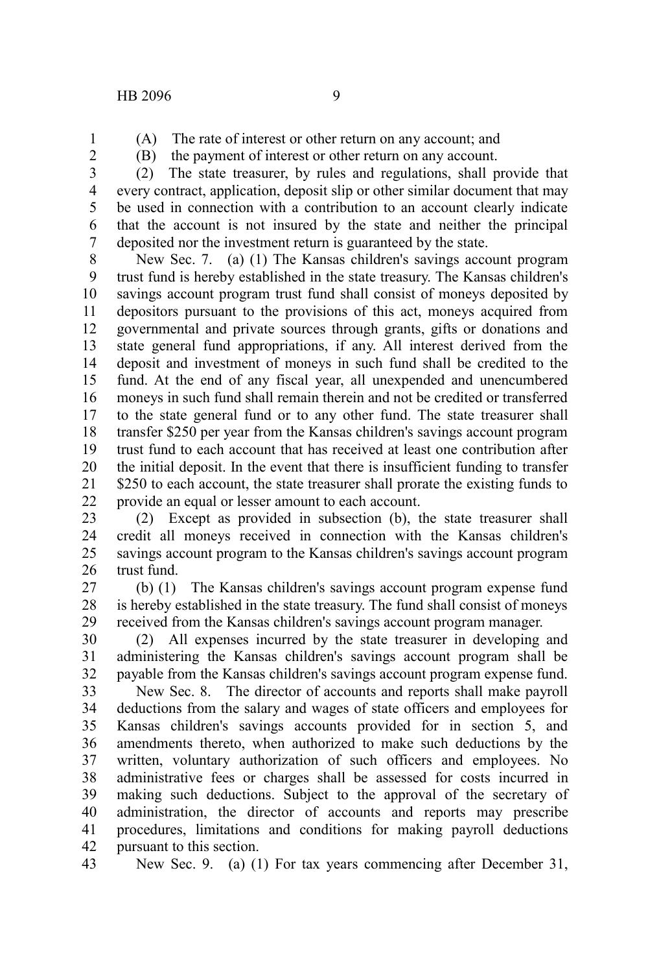- (A) The rate of interest or other return on any account; and
- 1 2
- (B) the payment of interest or other return on any account.

(2) The state treasurer, by rules and regulations, shall provide that every contract, application, deposit slip or other similar document that may be used in connection with a contribution to an account clearly indicate that the account is not insured by the state and neither the principal deposited nor the investment return is guaranteed by the state. 3 4 5 6 7

New Sec. 7. (a) (1) The Kansas children's savings account program trust fund is hereby established in the state treasury. The Kansas children's savings account program trust fund shall consist of moneys deposited by depositors pursuant to the provisions of this act, moneys acquired from governmental and private sources through grants, gifts or donations and state general fund appropriations, if any. All interest derived from the deposit and investment of moneys in such fund shall be credited to the fund. At the end of any fiscal year, all unexpended and unencumbered moneys in such fund shall remain therein and not be credited or transferred to the state general fund or to any other fund. The state treasurer shall transfer \$250 per year from the Kansas children's savings account program trust fund to each account that has received at least one contribution after the initial deposit. In the event that there is insufficient funding to transfer \$250 to each account, the state treasurer shall prorate the existing funds to provide an equal or lesser amount to each account. 8 9 10 11 12 13 14 15 16 17 18 19 20 21 22

(2) Except as provided in subsection (b), the state treasurer shall credit all moneys received in connection with the Kansas children's savings account program to the Kansas children's savings account program trust fund. 23 24 25 26

(b) (1) The Kansas children's savings account program expense fund is hereby established in the state treasury. The fund shall consist of moneys received from the Kansas children's savings account program manager. 27 28 29

(2) All expenses incurred by the state treasurer in developing and administering the Kansas children's savings account program shall be payable from the Kansas children's savings account program expense fund. 30 31 32

New Sec. 8. The director of accounts and reports shall make payroll deductions from the salary and wages of state officers and employees for Kansas children's savings accounts provided for in section 5, and amendments thereto, when authorized to make such deductions by the written, voluntary authorization of such officers and employees. No administrative fees or charges shall be assessed for costs incurred in making such deductions. Subject to the approval of the secretary of administration, the director of accounts and reports may prescribe procedures, limitations and conditions for making payroll deductions pursuant to this section. 33 34 35 36 37 38 39 40 41 42

New Sec. 9. (a) (1) For tax years commencing after December 31, 43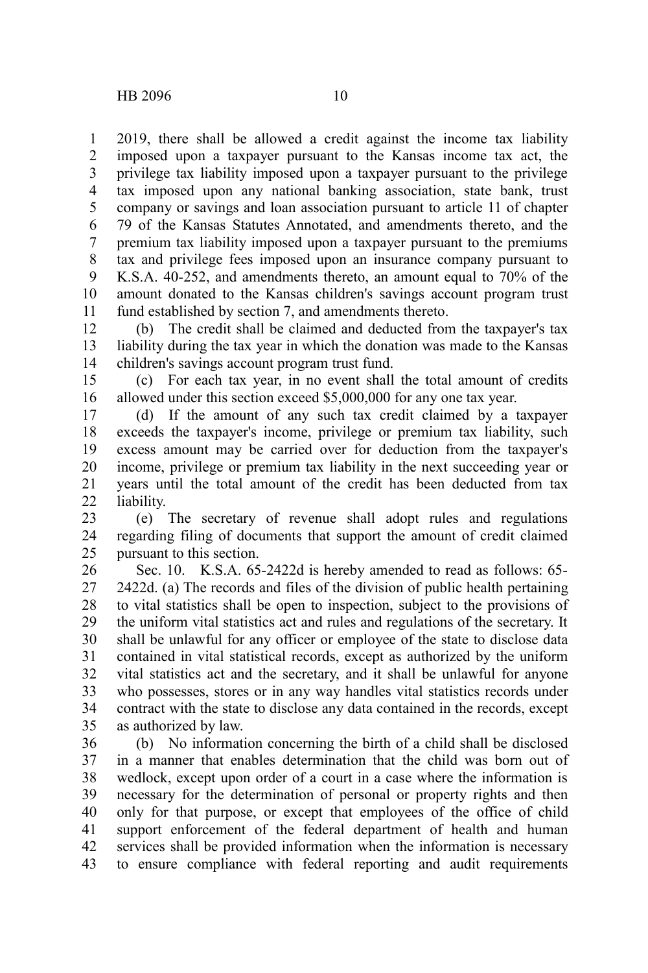2019, there shall be allowed a credit against the income tax liability imposed upon a taxpayer pursuant to the Kansas income tax act, the privilege tax liability imposed upon a taxpayer pursuant to the privilege tax imposed upon any national banking association, state bank, trust company or savings and loan association pursuant to article 11 of chapter 79 of the Kansas Statutes Annotated, and amendments thereto, and the premium tax liability imposed upon a taxpayer pursuant to the premiums tax and privilege fees imposed upon an insurance company pursuant to K.S.A. 40-252, and amendments thereto, an amount equal to 70% of the amount donated to the Kansas children's savings account program trust fund established by section 7, and amendments thereto. 1 2 3 4 5 6 7 8 9 10 11

(b) The credit shall be claimed and deducted from the taxpayer's tax liability during the tax year in which the donation was made to the Kansas children's savings account program trust fund. 12 13 14

(c) For each tax year, in no event shall the total amount of credits allowed under this section exceed \$5,000,000 for any one tax year. 15 16

(d) If the amount of any such tax credit claimed by a taxpayer exceeds the taxpayer's income, privilege or premium tax liability, such excess amount may be carried over for deduction from the taxpayer's income, privilege or premium tax liability in the next succeeding year or years until the total amount of the credit has been deducted from tax liability. 17 18 19 20 21 22

(e) The secretary of revenue shall adopt rules and regulations regarding filing of documents that support the amount of credit claimed pursuant to this section. 23 24 25

Sec. 10. K.S.A. 65-2422d is hereby amended to read as follows: 65- 2422d. (a) The records and files of the division of public health pertaining to vital statistics shall be open to inspection, subject to the provisions of the uniform vital statistics act and rules and regulations of the secretary. It shall be unlawful for any officer or employee of the state to disclose data contained in vital statistical records, except as authorized by the uniform vital statistics act and the secretary, and it shall be unlawful for anyone who possesses, stores or in any way handles vital statistics records under contract with the state to disclose any data contained in the records, except as authorized by law. 26 27 28 29 30 31 32 33 34 35

(b) No information concerning the birth of a child shall be disclosed in a manner that enables determination that the child was born out of wedlock, except upon order of a court in a case where the information is necessary for the determination of personal or property rights and then only for that purpose, or except that employees of the office of child support enforcement of the federal department of health and human services shall be provided information when the information is necessary to ensure compliance with federal reporting and audit requirements 36 37 38 39 40 41 42 43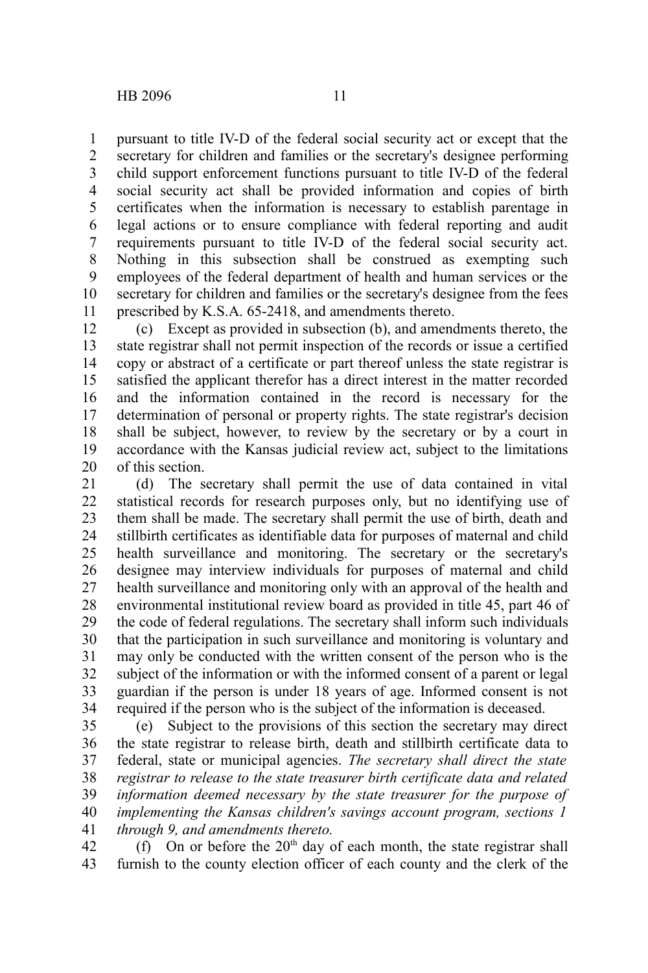pursuant to title IV-D of the federal social security act or except that the secretary for children and families or the secretary's designee performing child support enforcement functions pursuant to title IV-D of the federal social security act shall be provided information and copies of birth certificates when the information is necessary to establish parentage in legal actions or to ensure compliance with federal reporting and audit requirements pursuant to title IV-D of the federal social security act. Nothing in this subsection shall be construed as exempting such employees of the federal department of health and human services or the secretary for children and families or the secretary's designee from the fees prescribed by K.S.A. 65-2418, and amendments thereto. 1 2 3 4 5 6 7 8 9 10 11

(c) Except as provided in subsection (b), and amendments thereto, the state registrar shall not permit inspection of the records or issue a certified copy or abstract of a certificate or part thereof unless the state registrar is satisfied the applicant therefor has a direct interest in the matter recorded and the information contained in the record is necessary for the determination of personal or property rights. The state registrar's decision shall be subject, however, to review by the secretary or by a court in accordance with the Kansas judicial review act, subject to the limitations of this section. 12 13 14 15 16 17 18 19 20

(d) The secretary shall permit the use of data contained in vital statistical records for research purposes only, but no identifying use of them shall be made. The secretary shall permit the use of birth, death and stillbirth certificates as identifiable data for purposes of maternal and child health surveillance and monitoring. The secretary or the secretary's designee may interview individuals for purposes of maternal and child health surveillance and monitoring only with an approval of the health and environmental institutional review board as provided in title 45, part 46 of the code of federal regulations. The secretary shall inform such individuals that the participation in such surveillance and monitoring is voluntary and may only be conducted with the written consent of the person who is the subject of the information or with the informed consent of a parent or legal guardian if the person is under 18 years of age. Informed consent is not required if the person who is the subject of the information is deceased. 21 22 23 24 25 26 27 28 29 30 31 32 33 34

(e) Subject to the provisions of this section the secretary may direct the state registrar to release birth, death and stillbirth certificate data to federal, state or municipal agencies. *The secretary shall direct the state registrar to release to the state treasurer birth certificate data and related information deemed necessary by the state treasurer for the purpose of implementing the Kansas children's savings account program, sections 1 through 9, and amendments thereto.* 35 36 37 38 39 40 41

(f) On or before the  $20<sup>th</sup>$  day of each month, the state registrar shall furnish to the county election officer of each county and the clerk of the 42 43